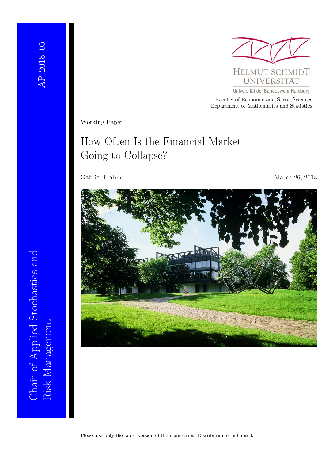

Universität der Bundeswehr Hamburg

Faculty of Economic and Social Sciences Department of Mathematics and Statistics

Working Paper

## How Often Is the Financial Market Going to Collapse?

Gabriel Frahm March 26, 2018



Risk Management<br>Risk Management Chair of Applied Stochastics and Chair of Applied Stochastics and Risk Management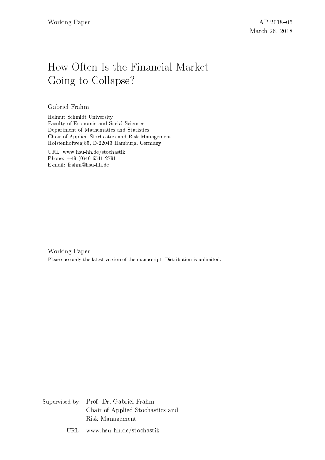## How Often Is the Financial Market Going to Collapse?

### Gabriel Frahm

Helmut Schmidt University Faculty of Economic and Social Sciences Department of Mathematics and Statistics Chair of Applied Stochastics and Risk Management Holstenhofweg 85, D-22043 Hamburg, Germany

URL: www.hsu-hh.de/stochastik Phone: +49 (0)40 6541-2791 E-mail: frahm@hsu-hh.de

Working Paper Please use only the latest version of the manuscript. Distribution is unlimited.

Supervised by: Prof. Dr. Gabriel Frahm Chair of Applied Stochastics and Risk Management

URL: www.hsu-hh.de/stochastik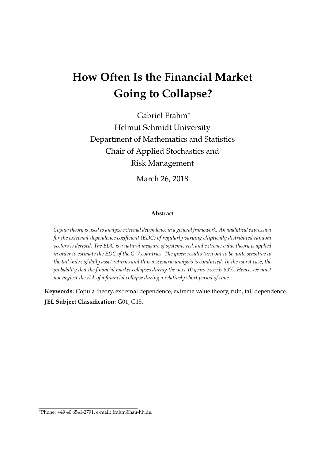# **How Often Is the Financial Market Going to Collapse?**

Gabriel Frahm<sup>∗</sup> Helmut Schmidt University Department of Mathematics and Statistics Chair of Applied Stochastics and Risk Management

March 26, 2018

#### **Abstract**

*Copula theory is used to analyze extremal dependence in a general framework. An analytical expression for the extremal-dependence coefficient (EDC) of regularly varying elliptically distributed random vectors is derived. The EDC is a natural measure of systemic risk and extreme value theory is applied in order to estimate the EDC of the G–7 countries. The given results turn out to be quite sensitive to the tail index of daily asset returns and thus a scenario analysis is conducted. In the worst case, the probability that the financial market collapses during the next 10 years exceeds 50%. Hence, we must not neglect the risk of a financial collapse during a relatively short period of time.*

**Keywords:** Copula theory, extremal dependence, extreme value theory, ruin, tail dependence. **JEL Subject Classification:** G01, G15.

<sup>∗</sup>Phone: +49 40 6541-2791, e-mail: frahm@hsu-hh.de.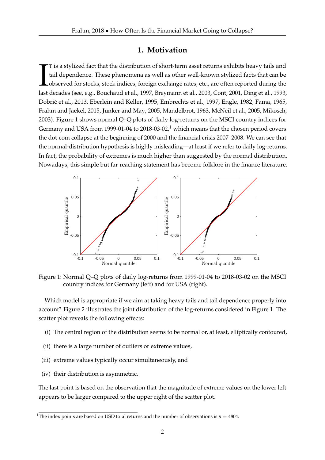## **1. Motivation**

T is a stylized fact that the distribution of short-term asset returns exhibits heavy tails and tail dependence. These phenomena as well as other well-known stylized facts that can be observed for stocks, stock indices, fo T is a stylized fact that the distribution of short-term asset returns exhibits heavy tails and tail dependence. These phenomena as well as other well-known stylized facts that can be observed for stocks, stock indices, foreign exchange rates, etc., are often reported during the Dobrić et al., 2013, Eberlein and Keller, 1995, Embrechts et al., 1997, Engle, 1982, Fama, 1965, Frahm and Jaekel, 2015, Junker and May, 2005, Mandelbrot, 1963, McNeil et al., 2005, Mikosch, 2003). Figure 1 shows normal Q–Q plots of daily log-returns on the MSCI country indices for Germany and USA from 1999-01-04 to 2018-03-02,<sup>1</sup> which means that the chosen period covers the dot-com collapse at the beginning of 2000 and the financial crisis 2007–2008. We can see that the normal-distribution hypothesis is highly misleading—at least if we refer to daily log-returns. In fact, the probability of extremes is much higher than suggested by the normal distribution. Nowadays, this simple but far-reaching statement has become folklore in the finance literature.



Figure 1: Normal Q–Q plots of daily log-returns from 1999-01-04 to 2018-03-02 on the MSCI country indices for Germany (left) and for USA (right).

Which model is appropriate if we aim at taking heavy tails and tail dependence properly into account? Figure 2 illustrates the joint distribution of the log-returns considered in Figure 1. The scatter plot reveals the following effects:

- (i) The central region of the distribution seems to be normal or, at least, elliptically contoured,
- (ii) there is a large number of outliers or extreme values,
- (iii) extreme values typically occur simultaneously, and
- (iv) their distribution is asymmetric.

The last point is based on the observation that the magnitude of extreme values on the lower left appears to be larger compared to the upper right of the scatter plot.

<sup>&</sup>lt;sup>1</sup>The index points are based on USD total returns and the number of observations is  $n = 4804$ .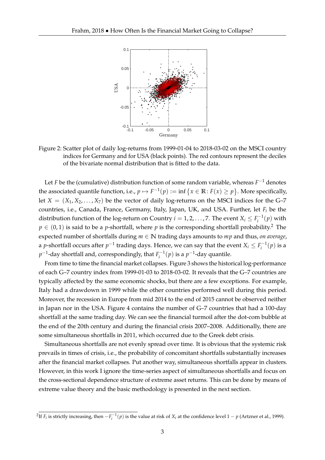

Figure 2: Scatter plot of daily log-returns from 1999-01-04 to 2018-03-02 on the MSCI country indices for Germany and for USA (black points). The red contours represent the deciles of the bivariate normal distribution that is fitted to the data.

Let *F* be the (cumulative) distribution function of some random variable, whereas *F* <sup>−</sup><sup>1</sup> denotes the associated quantile function, i.e.,  $p \mapsto F^{-1}(p) := \inf \{x \in \mathbb{R} : F(x) \geq p\}$ . More specifically, let  $X = (X_1, X_2, \ldots, X_7)$  be the vector of daily log-returns on the MSCI indices for the G–7 countries, i.e., Canada, France, Germany, Italy, Japan, UK, and USA. Further, let *F<sup>i</sup>* be the distribution function of the log-return on Country  $i = 1, 2, ..., 7$ . The event  $X_i \leq F_i^{-1}(p)$  with  $p \in (0, 1)$  is said to be a *p*-shortfall, where *p* is the corresponding shortfall probability.<sup>2</sup> The expected number of shortfalls during *m* ∈ **N** trading days amounts to *mp* and thus, *on average*, a *p*-shortfall occurs after  $p^{-1}$  trading days. Hence, we can say that the event  $X_i \leq F_i^{-1}(p)$  is a  $p^{-1}$ -day shortfall and, correspondingly, that  $F_i^{-1}(p)$  is a  $p^{-1}$ -day quantile.

From time to time the financial market collapses. Figure 3 shows the historical log-performance of each G–7 country index from 1999-01-03 to 2018-03-02. It reveals that the G–7 countries are typically affected by the same economic shocks, but there are a few exceptions. For example, Italy had a drawdown in 1999 while the other countries performed well during this period. Moreover, the recession in Europe from mid 2014 to the end of 2015 cannot be observed neither in Japan nor in the USA. Figure 4 contains the number of G–7 countries that had a 100-day shortfall at the same trading day. We can see the financial turmoil after the dot-com bubble at the end of the 20th century and during the financial crisis 2007–2008. Additionally, there are some simultaneous shortfalls in 2011, which occurred due to the Greek debt crisis.

Simultaneous shortfalls are not evenly spread over time. It is obvious that the systemic risk prevails in times of crisis, i.e., the probability of concomitant shortfalls substantially increases after the financial market collapses. Put another way, simultaneous shortfalls appear in clusters. However, in this work I ignore the time-series aspect of simultaneous shortfalls and focus on the cross-sectional dependence structure of extreme asset returns. This can be done by means of extreme value theory and the basic methodology is presented in the next section.

<sup>&</sup>lt;sup>2</sup>If *F<sub>i</sub>* is strictly increasing, then  $-F_i^{-1}(p)$  is the value at risk of  $X_i$  at the confidence level  $1-p$  (Artzner et al., 1999).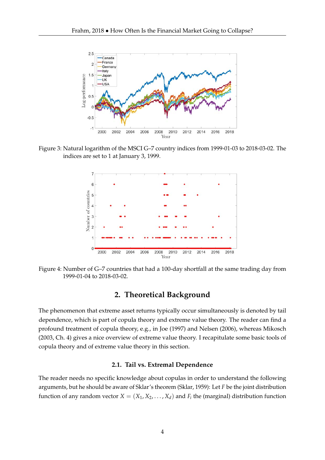

Figure 3: Natural logarithm of the MSCI G–7 country indices from 1999-01-03 to 2018-03-02. The indices are set to 1 at January 3, 1999.



Figure 4: Number of G–7 countries that had a 100-day shortfall at the same trading day from 1999-01-04 to 2018-03-02.

## **2. Theoretical Background**

The phenomenon that extreme asset returns typically occur simultaneously is denoted by tail dependence, which is part of copula theory and extreme value theory. The reader can find a profound treatment of copula theory, e.g., in Joe (1997) and Nelsen (2006), whereas Mikosch (2003, Ch. 4) gives a nice overview of extreme value theory. I recapitulate some basic tools of copula theory and of extreme value theory in this section.

#### **2.1. Tail vs. Extremal Dependence**

The reader needs no specific knowledge about copulas in order to understand the following arguments, but he should be aware of Sklar's theorem (Sklar, 1959): Let *F* be the joint distribution function of any random vector  $X = (X_1, X_2, \ldots, X_d)$  and  $F_i$  the (marginal) distribution function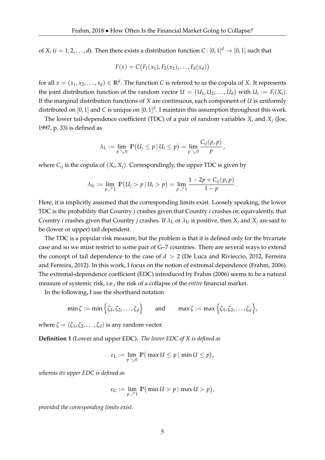of *X<sub>i</sub>* (*i* = 1, 2, . . . , *d*). Then there exists a distribution function  $C: [0, 1]^d \rightarrow [0, 1]$  such that

$$
F(x) = C(F_1(x_1), F_2(x_2), \ldots, F_d(x_d))
$$

for all  $x = (x_1, x_2, \ldots, x_d) \in \mathbb{R}^d$ . The function C is referred to as the copula of *X*. It represents the joint distribution function of the random vector  $U = (U_1, U_2, \ldots, U_d)$  with  $U_i := F_i(X_i)$ . If the marginal distribution functions of *X* are continuous, each component of *U* is uniformly distributed on [0, 1] and *C* is unique on [0, 1] *d* . I maintain this assumption throughout this work.

The lower tail-dependence coefficient (TDC) of a pair of random variables  $X_i$  and  $X_j$  (Joe, 1997, p. 33) is defined as

$$
\lambda_{\mathrm{L}} := \lim_{p \searrow 0} \mathbb{P}(U_j \leq p \,|\, U_i \leq p) = \lim_{p \searrow 0} \frac{C_{ij}(p, p)}{p},
$$

where  $C_{ij}$  is the copula of  $(X_i, X_j)$ . Correspondingly, the upper TDC is given by

$$
\lambda_{\mathrm{U}} := \lim_{p \nearrow 1} \ \mathbb{P}(U_j > p \,|\, U_i > p) = \lim_{p \nearrow 1} \frac{1 - 2p + C_{ij}(p, p)}{1 - p} \,.
$$

Here, it is implicitly assumed that the corresponding limits exist. Loosely speaking, the lower TDC is the probability that Country *j* crashes given that Country *i* crashes or, equivalently, that Country *i* crashes given that Country *j* crashes. If  $\lambda_L$  or  $\lambda_U$  is positive, then  $X_i$  and  $X_j$  are said to be (lower or upper) tail dependent.

The TDC is a popular risk measure, but the problem is that it is defined only for the bivariate case and so we must restrict to some pair of G–7 countries. There are several ways to extend the concept of tail dependence to the case of  $d > 2$  (De Luca and Rivieccio, 2012, Ferreira and Ferreira, 2012). In this work, I focus on the notion of extremal dependence (Frahm, 2006). The extremal-dependence coefficient (EDC) introduced by Frahm (2006) seems to be a natural measure of systemic risk, i.e., the risk of a collapse of the *entire* financial market.

In the following, I use the shorthand notation

$$
\min \zeta := \min \Big\{ \zeta_1, \zeta_2, \ldots, \zeta_d \Big\} \quad \text{and} \quad \max \zeta := \max \Big\{ \zeta_1, \zeta_2, \ldots, \zeta_d \Big\},
$$

where  $\zeta = (\zeta_1, \zeta_2, \dots, \zeta_d)$  is any random vector.

**Definition 1** (Lower and upper EDC)**.** *The lower EDC of X is defined as*

$$
\varepsilon_{\mathcal{L}} := \lim_{p \searrow 0} \mathbb{P} \big( \max U \leq p \, | \, \min U \leq p \big),
$$

*whereas its upper EDC is defined as*

$$
\varepsilon_U := \lim_{p \nearrow 1} \mathbb{P}(\min U > p \mid \max U > p),
$$

*provided the corresponding limits exist.*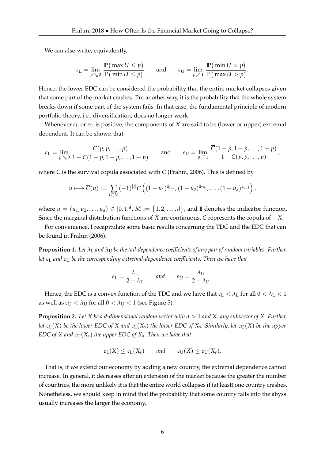We can also write, equivalently,

$$
\varepsilon_{\mathcal{L}} = \lim_{p \searrow 0} \frac{\mathbb{P}(\max U \le p)}{\mathbb{P}(\min U \le p)} \quad \text{and} \quad \varepsilon_{\mathcal{U}} = \lim_{p \nearrow 1} \frac{\mathbb{P}(\min U > p)}{\mathbb{P}(\max U > p)}.
$$

Hence, the lower EDC can be considered the probability that the entire market collapses given that some part of the market crashes. Put another way, it is the probability that the whole system breaks down if some part of the system fails. In that case, the fundamental principle of modern portfolio theory, i.e., diversification, does no longer work.

Whenever  $\varepsilon_L$  or  $\varepsilon_U$  is positive, the components of *X* are said to be (lower or upper) extremal dependent. It can be shown that

$$
\varepsilon_{\mathsf{L}} = \lim_{p \searrow 0} \frac{C(p, p, \dots, p)}{1 - \overline{C}(1 - p, 1 - p, \dots, 1 - p)} \quad \text{and} \quad \varepsilon_{\mathsf{U}} = \lim_{p \nearrow 1} \frac{\overline{C}(1 - p, 1 - p, \dots, 1 - p)}{1 - C(p, p, \dots, p)},
$$

where  $\overline{C}$  is the survival copula associated with *C* (Frahm, 2006). This is defined by

$$
u\longmapsto \overline{C}(u):=\sum_{I\subseteq M}(-1)^{|I|}C\left((1-u_1)^{1\!\!1_{\lceil\epsilon I\rceil}},(1-u_2)^{1\!\!1_{\lceil\epsilon I\rceil}},\ldots,(1-u_d)^{1\!\!1_{\lceil\epsilon I\rceil}}\right),
$$

where  $u = (u_1, u_2, \ldots, u_d) \in [0, 1]^d$ ,  $M := \{1, 2, \ldots, d\}$ , and 1 denotes the indicator function. Since the marginal distribution functions of *X* are continuous,  $\overline{C}$  represents the copula of  $-X$ .

For convenience, I recapitulate some basic results concerning the TDC and the EDC that can be found in Frahm (2006).

**Proposition 1.** Let  $\lambda_L$  and  $\lambda_U$  be the tail-dependence coefficients of any pair of random variables. Further, *let ε*<sup>L</sup> *and ε*<sup>U</sup> *be the corresponding extremal-dependence coefficients. Then we have that*

$$
\varepsilon_{\rm L} = \frac{\lambda_{\rm L}}{2 - \lambda_{\rm L}}
$$
 and  $\varepsilon_{\rm U} = \frac{\lambda_{\rm U}}{2 - \lambda_{\rm U}}$ .

Hence, the EDC is a convex function of the TDC and we have that  $\varepsilon_L < \lambda_L$  for all  $0 < \lambda_L < 1$ as well as  $\varepsilon_U < \lambda_U$  for all  $0 < \lambda_U < 1$  (see Figure 5).

**Proposition 2.** *Let X be a d-dimensional random vector with d* > 1 *and X<sup>s</sup> any subvector of X. Further, let*  $\varepsilon_L(X)$  *be the lower EDC of*  $X$  *and*  $\varepsilon_L(X_s)$  *the lower EDC of*  $X_s$ *. Similarly, let*  $\varepsilon_U(X)$  *be the upper EDC of X and*  $\varepsilon_U(X_s)$  *the upper EDC of*  $X_s$ *. Then we have that* 

$$
\varepsilon_{L}(X) \leq \varepsilon_{L}(X_{s})
$$
 and  $\varepsilon_{U}(X) \leq \varepsilon_{U}(X_{s}).$ 

That is, if we extend our economy by adding a new country, the extremal dependence cannot increase. In general, it decreases after an extension of the market because the greater the number of countries, the more unlikely it is that the entire world collapses if (at least) one country crashes. Nonetheless, we should keep in mind that the probability that some country falls into the abyss usually increases the larger the economy.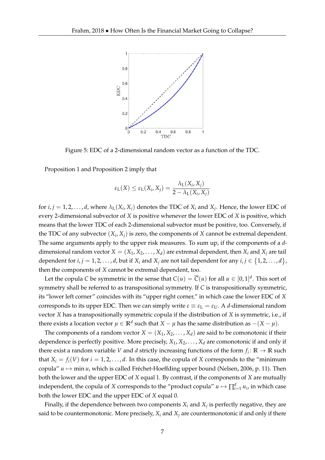

Figure 5: EDC of a 2-dimensional random vector as a function of the TDC.

Proposition 1 and Proposition 2 imply that

$$
\varepsilon_{\mathsf{L}}(X) \leq \varepsilon_{\mathsf{L}}(X_i, X_j) = \frac{\lambda_{\mathsf{L}}(X_i, X_j)}{2 - \lambda_{\mathsf{L}}(X_i, X_j)}
$$

for  $i, j = 1, 2, \ldots, d$ , where  $\lambda_L(X_i, X_j)$  denotes the TDC of  $X_i$  and  $X_j$ . Hence, the lower EDC of every 2-dimensional subvector of *X* is positive whenever the lower EDC of *X* is positive, which means that the lower TDC of each 2-dimensional subvector must be positive, too. Conversely, if the TDC of any subvector  $(X_i, X_j)$  is zero, the components of  $X$  cannot be extremal dependent. The same arguments apply to the upper risk measures. To sum up, if the components of a *d*dimensional random vector  $X = (X_1, X_2, \ldots, X_d)$  are extremal dependent, then  $X_i$  and  $X_j$  are tail dependent for  $i, j = 1, 2, \ldots, d$ , but if  $X_i$  and  $X_j$  are not tail dependent for any  $i, j \in \{1, 2, \ldots, d\}$ , then the components of *X* cannot be extremal dependent, too.

Let the copula *C* be symmetric in the sense that  $C(u) = \overline{C}(u)$  for all  $u \in [0,1]^d$ . This sort of symmetry shall be referred to as transpositional symmetry. If *C* is transpositionally symmetric, its "lower left corner" coincides with its "upper right corner," in which case the lower EDC of *X* corresponds to its upper EDC. Then we can simply write  $\varepsilon \equiv \varepsilon_L = \varepsilon_U$ . A *d*-dimensional random vector *X* has a transpositionally symmetric copula if the distribution of *X* is symmetric, i.e., if there exists a location vector  $\mu \in \mathbb{R}^d$  such that  $X - \mu$  has the same distribution as  $-(X - \mu)$ .

The components of a random vector  $X = (X_1, X_2, \ldots, X_d)$  are said to be comonotonic if their dependence is perfectly positive. More precisely, *X*1, *X*2, . . . , *X<sup>d</sup>* are comonotonic if and only if there exist a random variable *V* and *d* strictly increasing functions of the form  $f_i: \mathbb{R} \to \mathbb{R}$  such that  $X_i = f_i(V)$  for  $i = 1, 2, ..., d$ . In this case, the copula of *X* corresponds to the "minimum" copula"  $u \mapsto$  min  $u$ , which is called Fréchet-Hoeffding upper bound (Nelsen, 2006, p. 11). Then both the lower and the upper EDC of *X* equal 1. By contrast, if the components of *X* are mutually independent, the copula of *X* corresponds to the "product copula"  $u \mapsto \prod_{i=1}^d u_i$ , in which case both the lower EDC and the upper EDC of *X* equal 0.

Finally, if the dependence between two components  $X_i$  and  $X_j$  is perfectly negative, they are said to be countermonotonic. More precisely,  $X_i$  and  $X_j$  are countermonotonic if and only if there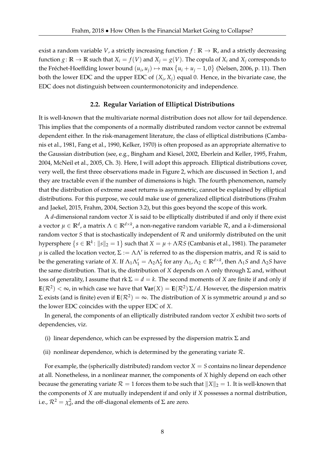exist a random variable *V*, a strictly increasing function  $f : \mathbb{R} \to \mathbb{R}$ , and a strictly decreasing function  $g: \mathbb{R} \to \mathbb{R}$  such that  $X_i = f(V)$  and  $X_j = g(V)$ . The copula of  $X_i$  and  $X_j$  corresponds to the Fréchet-Hoeffding lower bound  $(u_i, u_j) \mapsto \max\{u_i + u_j - 1, 0\}$  (Nelsen, 2006, p. 11). Then both the lower EDC and the upper EDC of (*X<sup>i</sup>* , *Xj*) equal 0. Hence, in the bivariate case, the EDC does not distinguish between countermonotonicity and independence.

#### **2.2. Regular Variation of Elliptical Distributions**

It is well-known that the multivariate normal distribution does not allow for tail dependence. This implies that the components of a normally distributed random vector cannot be extremal dependent either. In the risk-management literature, the class of elliptical distributions (Cambanis et al., 1981, Fang et al., 1990, Kelker, 1970) is often proposed as an appropriate alternative to the Gaussian distribution (see, e.g., Bingham and Kiesel, 2002, Eberlein and Keller, 1995, Frahm, 2004, McNeil et al., 2005, Ch. 3). Here, I will adopt this approach. Elliptical distributions cover, very well, the first three observations made in Figure 2, which are discussed in Section 1, and they are tractable even if the number of dimensions is high. The fourth phenomenon, namely that the distribution of extreme asset returns is asymmetric, cannot be explained by elliptical distributions. For this purpose, we could make use of generalized elliptical distributions (Frahm and Jaekel, 2015, Frahm, 2004, Section 3.2), but this goes beyond the scope of this work.

A *d*-dimensional random vector *X* is said to be elliptically distributed if and only if there exist a vector  $\mu \in \mathbb{R}^d$ , a matrix  $\Lambda \in \mathbb{R}^{d\times k}$ , a non-negative random variable  $\mathcal{R}$ , and a  $k$ -dimensional random vector  $S$  that is stochastically independent of  $R$  and uniformly distributed on the unit hypersphere  $\left\{s\in\mathbb{R}^k\colon \|s\|_2=1\right\}$  such that  $X=\mu+\Lambda\mathcal{R} S$  (Cambanis et al., 1981). The parameter  $\mu$  is called the location vector,  $\Sigma:=\Lambda\Lambda'$  is referred to as the dispersion matrix, and  $\cal R$  is said to be the generating variate of X. If  $\Lambda_1\Lambda_1'=\Lambda_2\Lambda_2'$  for any  $\Lambda_1$ ,  $\Lambda_2\in\mathbb{R}^{d\times k}$ , then  $\Lambda_1S$  and  $\Lambda_2S$  have the same distribution. That is, the distribution of *X* depends on Λ only through Σ and, without loss of generality, I assume that  $rk \Sigma = d = k$ . The second moments of *X* are finite if and only if  $E(\mathcal{R}^2)<\infty$ , in which case we have that  $\textbf{Var}(X)=E(\mathcal{R}^2)\,\Sigma/d.$  However, the dispersion matrix  $\Sigma$  exists (and is finite) even if  $\textbf{E}(\mathcal{R}^2)=\infty.$  The distribution of  $X$  is symmetric around  $\mu$  and so the lower EDC coincides with the upper EDC of *X*.

In general, the components of an elliptically distributed random vector *X* exhibit two sorts of dependencies, viz.

- (i) linear dependence, which can be expressed by the dispersion matrix  $\Sigma$  and
- (ii) nonlinear dependence, which is determined by the generating variate  $\mathcal{R}$ .

For example, the (spherically distributed) random vector *X* = *S* contains no linear dependence at all. Nonetheless, in a nonlinear manner, the components of *X* highly depend on each other because the generating variate  $\mathcal{R} = 1$  forces them to be such that  $||X||_2 = 1$ . It is well-known that the components of *X* are mutually independent if and only if *X* possesses a normal distribution, i.e.,  $\mathcal{R}^2 = \chi_d^2$ , and the off-diagonal elements of  $\Sigma$  are zero.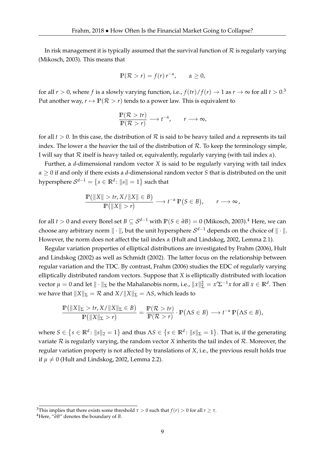In risk management it is typically assumed that the survival function of  $R$  is regularly varying (Mikosch, 2003). This means that

$$
\mathbb{P}(\mathcal{R} > r) = f(r) r^{-\alpha}, \qquad \alpha \ge 0,
$$

for all  $r > 0$ , where f is a slowly varying function, i.e.,  $f(tr)/f(r) \rightarrow 1$  as  $r \rightarrow \infty$  for all  $t > 0$ .<sup>3</sup> Put another way,  $r \mapsto \mathbb{P}(\mathcal{R} > r)$  tends to a power law. This is equivalent to

$$
\frac{\mathbb{P}(\mathcal{R} > tr)}{\mathbb{P}(\mathcal{R} > r)} \longrightarrow t^{-\alpha}, \qquad r \longrightarrow \infty,
$$

for all  $t > 0$ . In this case, the distribution of  $R$  is said to be heavy tailed and  $\alpha$  represents its tail index. The lower  $\alpha$  the heavier the tail of the distribution of  $\mathcal{R}$ . To keep the terminology simple, I will say that R itself is heavy tailed or, equivalently, regularly varying (with tail index *α*).

Further, a *d*-dimensional random vector *X* is said to be regularly varying with tail index *α* ≥ 0 if and only if there exists a *d*-dimensional random vector *S* that is distributed on the unit hypersphere  $\mathcal{S}^{d-1} = \{s \in \mathbb{R}^d \colon \|s\| = 1\}$  such that

$$
\frac{\mathbb{P}(|X| > tr, X/||X|| \in B)}{\mathbb{P}(|X|| > r)} \longrightarrow t^{-\alpha} \mathbb{P}(S \in B), \qquad r \longrightarrow \infty,
$$

for all *t* > 0 and every Borel set  $B \subseteq S^{d-1}$  with  $\mathbb{P}(S \in \partial B) = 0$  (Mikosch, 2003).<sup>4</sup> Here, we can choose any arbitrary norm  $\|\cdot\|$ , but the unit hypersphere  $\mathcal{S}^{d-1}$  depends on the choice of  $\|\cdot\|.$ However, the norm does not affect the tail index *α* (Hult and Lindskog, 2002, Lemma 2.1).

Regular variation properties of elliptical distributions are investigated by Frahm (2006), Hult and Lindskog (2002) as well as Schmidt (2002). The latter focus on the relationship between regular variation and the TDC. By contrast, Frahm (2006) studies the EDC of regularly varying elliptically distributed random vectors. Suppose that *X* is elliptically distributed with location vector  $\mu = 0$  and let  $\|\cdot\|_{\Sigma}$  be the Mahalanobis norm, i.e.,  $\|x\|_{\Sigma}^2 = x'\Sigma^{-1}x$  for all  $x \in \mathbb{R}^d$ . Then we have that  $||X||_{\Sigma} = \mathcal{R}$  and  $X/||X||_{\Sigma} = \Lambda S$ , which leads to

$$
\frac{\mathbb{P}(\|X\|_{\Sigma} > tr, X/\|X\|_{\Sigma} \in B)}{\mathbb{P}(\|X\|_{\Sigma} > r)} = \frac{\mathbb{P}(\mathcal{R} > tr)}{\mathbb{P}(\mathcal{R} > r)} \cdot \mathbb{P}(\Lambda S \in B) \longrightarrow t^{-\alpha} \mathbb{P}(\Lambda S \in B),
$$

where  $S \in \left\{s \in \mathbb{R}^d \colon \|s\|_2 = 1\right\}$  and thus  $\Lambda S \in \left\{s \in \mathbb{R}^d \colon \|s\|_{\Sigma} = 1\right\}$ . That is, if the generating variate  $R$  is regularly varying, the random vector  $X$  inherits the tail index of  $R$ . Moreover, the regular variation property is not affected by translations of *X*, i.e., the previous result holds true if  $\mu \neq 0$  (Hult and Lindskog, 2002, Lemma 2.2).

<sup>&</sup>lt;sup>3</sup>This implies that there exists some threshold  $\tau > 0$  such that  $f(r) > 0$  for all  $r \geq \tau$ .

<sup>4</sup>Here, "*∂B*" denotes the boundary of *B*.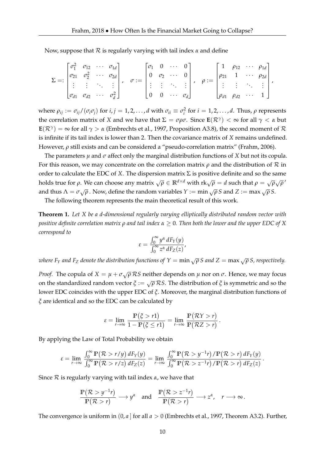Now, suppose that R is regularly varying with tail index *α* and define

$$
\Sigma =: \begin{bmatrix} \sigma_1^2 & \sigma_{12} & \cdots & \sigma_{1d} \\ \sigma_{21} & \sigma_2^2 & \cdots & \sigma_{2d} \\ \vdots & \vdots & \ddots & \vdots \\ \sigma_{d1} & \sigma_{d2} & \cdots & \sigma_d^2 \end{bmatrix}, \quad \sigma := \begin{bmatrix} \sigma_1 & 0 & \cdots & 0 \\ 0 & \sigma_2 & \cdots & 0 \\ \vdots & \vdots & \ddots & \vdots \\ 0 & 0 & \cdots & \sigma_d \end{bmatrix}, \quad \rho := \begin{bmatrix} 1 & \rho_{12} & \cdots & \rho_{1d} \\ \rho_{21} & 1 & \cdots & \rho_{2d} \\ \vdots & \vdots & \ddots & \vdots \\ \rho_{d1} & \rho_{d2} & \cdots & 1 \end{bmatrix},
$$

where  $\rho_{ij} := \sigma_{ij}/(\sigma_i\sigma_j)$  for  $i,j=1,2,\ldots,d$  with  $\sigma_{ii}\equiv\sigma_i^2$  for  $i=1,2,\ldots,d$ . Thus,  $\rho$  represents the correlation matrix of *X* and we have that  $\Sigma = \sigma \rho \sigma$ . Since  $\mathbf{E}(\mathcal{R}^{\gamma}) < \infty$  for all  $\gamma < \alpha$  but  $\textbf{E}(\mathcal{R}^\gamma)=\infty$  for all  $\gamma>\alpha$  (Embrechts et al., 1997, Proposition A3.8), the second moment of  $\mathcal R$ is infinite if its tail index is lower than 2. Then the covariance matrix of *X* remains undefined. However, *ρ* still exists and can be considered a "pseudo-correlation matrix" (Frahm, 2006).

The parameters *µ* and *σ* affect only the marginal distribution functions of *X* but not its copula. For this reason, we may concentrate on the correlation matrix  $\rho$  and the distribution of  $R$  in order to calculate the EDC of *X*. The dispersion matrix  $\Sigma$  is positive definite and so the same holds true for *ρ*. We can choose any matrix  $\sqrt{\rho} \in \mathbb{R}^{d \times d}$  with  $\text{rk}\sqrt{\rho} = d$  such that  $\rho = \sqrt{\rho} \sqrt{\rho'}$ and thus  $\Lambda = \sigma \sqrt{\rho}$ . Now, define the random variables  $Y := \min_{\Lambda} \sqrt{\rho} S$  and  $Z := \max_{\Lambda} \sqrt{\rho} S$ .

The following theorem represents the main theoretical result of this work.

**Theorem 1.** *Let X be a d-dimensional regularly varying elliptically distributed random vector with positive definite correlation matrix ρ and tail index α* ≥ 0*. Then both the lower and the upper EDC of X correspond to*

$$
\varepsilon = \frac{\int_0^\infty y^\alpha dF_Y(y)}{\int_0^\infty z^\alpha dF_Z(z)},
$$

*where F*<sub>*Y*</sub> and F<sub>*Z*</sub> *denote the distribution functions of*  $Y = \min \sqrt{\rho} S$  *and*  $Z = \max \sqrt{\rho} S$ *, respectively.* 

*Proof.* The copula of  $X = \mu + \sigma \sqrt{\rho} \mathcal{RS}$  neither depends on  $\mu$  nor on  $\sigma$ . Hence, we may focus on the standardized random vector  $\zeta := \sqrt{\rho} \mathcal{R} S$ . The distribution of  $\zeta$  is symmetric and so the lower EDC coincides with the upper EDC of *ξ*. Moreover, the marginal distribution functions of *ξ* are identical and so the EDC can be calculated by

$$
\varepsilon = \lim_{r \to \infty} \frac{\mathbb{P}(\zeta > r\mathbb{1})}{1 - \mathbb{P}(\zeta \leq r\mathbb{1})} = \lim_{r \to \infty} \frac{\mathbb{P}(\mathcal{R}Y > r)}{\mathbb{P}(\mathcal{R}Z > r)}.
$$

By applying the Law of Total Probability we obtain

$$
\varepsilon = \lim_{r \to \infty} \frac{\int_0^\infty \mathbb{P}(\mathcal{R} > r/y) dF_Y(y)}{\int_0^\infty \mathbb{P}(\mathcal{R} > r/z) dF_Z(z)} = \lim_{r \to \infty} \frac{\int_0^\infty \mathbb{P}(\mathcal{R} > y^{-1}r) / \mathbb{P}(\mathcal{R} > r) dF_Y(y)}{\int_0^\infty \mathbb{P}(\mathcal{R} > z^{-1}r) / \mathbb{P}(\mathcal{R} > r) dF_Z(z)}.
$$

Since R is regularly varying with tail index *α*, we have that

$$
\frac{\mathbb{P}(\mathcal{R} > y^{-1}r)}{\mathbb{P}(\mathcal{R} > r)} \longrightarrow y^{\alpha} \quad \text{and} \quad \frac{\mathbb{P}(\mathcal{R} > z^{-1}r)}{\mathbb{P}(\mathcal{R} > r)} \longrightarrow z^{\alpha}, \quad r \longrightarrow \infty.
$$

The convergence is uniform in  $(0, a]$  for all  $a > 0$  (Embrechts et al., 1997, Theorem A3.2). Further,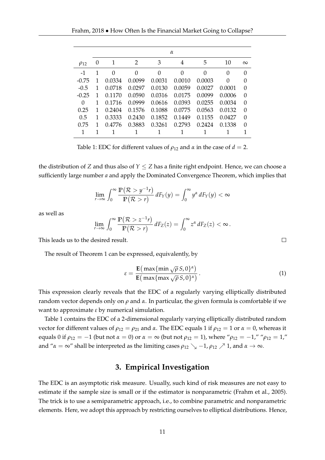|             | $\alpha$ |        |        |        |        |        |        |          |  |
|-------------|----------|--------|--------|--------|--------|--------|--------|----------|--|
| $\rho_{12}$ | $\theta$ | 1      | 2      | 3      | 4      | 5      | 10     | $\infty$ |  |
| $-1$        |          | 0      | 0      | 0      | 0      | 0      | 0      | $\Omega$ |  |
| $-0.75$     |          | 0.0334 | 0.0099 | 0.0031 | 0.0010 | 0.0003 | 0      | 0        |  |
| $-0.5$      | 1        | 0.0718 | 0.0297 | 0.0130 | 0.0059 | 0.0027 | 0.0001 | $\Omega$ |  |
| $-0.25$     | 1        | 0.1170 | 0.0590 | 0.0316 | 0.0175 | 0.0099 | 0.0006 | $\theta$ |  |
| 0           | 1        | 0.1716 | 0.0999 | 0.0616 | 0.0393 | 0.0255 | 0.0034 | $\Omega$ |  |
| 0.25        | 1        | 0.2404 | 0.1576 | 0.1088 | 0.0775 | 0.0563 | 0.0132 | $\Omega$ |  |
| 0.5         | 1        | 0.3333 | 0.2430 | 0.1852 | 0.1449 | 0.1155 | 0.0427 | $\Omega$ |  |
| 0.75        |          | 0.4776 | 0.3883 | 0.3261 | 0.2793 | 0.2424 | 0.1338 | $\theta$ |  |
|             | 1        |        |        |        |        |        |        |          |  |

Table 1: EDC for different values of  $\rho_{12}$  and  $\alpha$  in the case of  $d = 2$ .

the distribution of *Z* and thus also of  $Y \le Z$  has a finite right endpoint. Hence, we can choose a sufficiently large number *a* and apply the Dominated Convergence Theorem, which implies that

$$
\lim_{r\to\infty}\int_0^\infty\frac{\mathbb{P}(\mathcal{R}>y^{-1}r)}{\mathbb{P}(\mathcal{R}>r)}\,dF_Y(y)=\int_0^\infty y^\alpha\,dF_Y(y)<\infty
$$

as well as

$$
\lim_{r\to\infty}\int_0^\infty\frac{\mathbb{P}(\mathcal{R}>z^{-1}r)}{\mathbb{P}(\mathcal{R}>r)}\,dF_Z(z)=\int_0^\infty z^\alpha\,dF_Z(z)<\infty\,.
$$

This leads us to the desired result.

The result of Theorem 1 can be expressed, equivalently, by

$$
\varepsilon = \frac{\mathbf{E}(\max\{\min \sqrt{\rho} S, 0\}^{\alpha})}{\mathbf{E}(\max\{\max \sqrt{\rho} S, 0\}^{\alpha})}.
$$
 (1)

This expression clearly reveals that the EDC of a regularly varying elliptically distributed random vector depends only on *ρ* and *α*. In particular, the given formula is comfortable if we want to approximate *ε* by numerical simulation.

Table 1 contains the EDC of a 2-dimensional regularly varying elliptically distributed random vector for different values of  $ρ_{12} = ρ_{21}$  and *α*. The EDC equals 1 if  $ρ_{12} = 1$  or  $α = 0$ , whereas it equals 0 if  $ρ_{12} = -1$  (but not  $α = 0$ ) or  $α = ∞$  (but not  $ρ_{12} = 1$ ), where " $ρ_{12} = -1$ ," " $ρ_{12} = 1$ ," and " $\alpha = \infty$ " shall be interpreted as the limiting cases  $\rho_{12} \searrow -1$ ,  $\rho_{12} \nearrow 1$ , and  $\alpha \to \infty$ .

## **3. Empirical Investigation**

The EDC is an asymptotic risk measure. Usually, such kind of risk measures are not easy to estimate if the sample size is small or if the estimator is nonparametric (Frahm et al., 2005). The trick is to use a semiparametric approach, i.e., to combine parametric and nonparametric elements. Here, we adopt this approach by restricting ourselves to elliptical distributions. Hence,

 $\Box$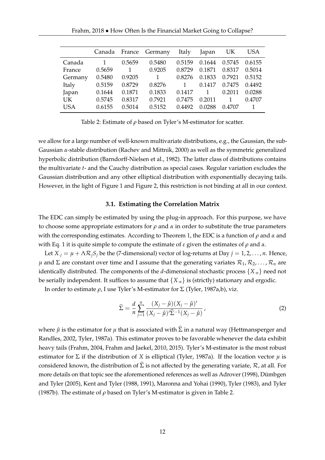| Frahm, 2018 • How Often Is the Financial Market Going to Collapse? |  |  |  |  |
|--------------------------------------------------------------------|--|--|--|--|
|--------------------------------------------------------------------|--|--|--|--|

|            | Canada |        | France Germany | Italy        | Japan  | UK     | <b>USA</b> |
|------------|--------|--------|----------------|--------------|--------|--------|------------|
| Canada     |        | 0.5659 | 0.5480         | 0.5159       | 0.1644 | 0.5745 | 0.6155     |
| France     | 0.5659 |        | 0.9205         | 0.8729       | 0.1871 | 0.8317 | 0.5014     |
| Germany    | 0.5480 | 0.9205 | $\mathbf{1}$   | 0.8276       | 0.1833 | 0.7921 | 0.5152     |
| Italy      | 0.5159 | 0.8729 | 0.8276         | $\mathbf{1}$ | 0.1417 | 0.7475 | 0.4492     |
| Japan      | 0.1644 | 0.1871 | 0.1833         | 0.1417       |        | 0.2011 | 0.0288     |
| <b>UK</b>  | 0.5745 | 0.8317 | 0.7921         | 0.7475       | 0.2011 | 1      | 0.4707     |
| <b>USA</b> | 0.6155 | 0.5014 | 0.5152         | 0.4492       | 0.0288 | 0.4707 |            |
|            |        |        |                |              |        |        |            |

Table 2: Estimate of *ρ* based on Tyler's M-estimator for scatter.

we allow for a large number of well-known multivariate distributions, e.g., the Gaussian, the sub-Gaussian *α*-stable distribution (Rachev and Mittnik, 2000) as well as the symmetric generalized hyperbolic distribution (Barndorff-Nielsen et al., 1982). The latter class of distributions contains the multivariate *t*- and the Cauchy distribution as special cases. Regular variation excludes the Gaussian distribution and any other elliptical distribution with exponentially decaying tails. However, in the light of Figure 1 and Figure 2, this restriction is not binding at all in our context.

#### **3.1. Estimating the Correlation Matrix**

The EDC can simply be estimated by using the plug-in approach. For this purpose, we have to choose some appropriate estimators for  $\rho$  and  $\alpha$  in order to substitute the true parameters with the corresponding estimates. According to Theorem 1, the EDC is a function of *ρ* and *α* and with Eq. 1 it is quite simple to compute the estimate of *ε* given the estimates of *ρ* and *α*.

Let  $X_i = \mu + \Lambda \mathcal{R}_i S_i$  be the (7-dimensional) vector of log-returns at Day  $j = 1, 2, ..., n$ . Hence, *μ* and Σ are constant over time and I assume that the generating variates  $\mathcal{R}_1, \mathcal{R}_2, \ldots, \mathcal{R}_n$  are identically distributed. The components of the *d*-dimensional stochastic process {*X*·*n*} need not be serially independent. It suffices to assume that  ${X<sub>n</sub>}$  is (strictly) stationary and ergodic.

In order to estimate *ρ*, I use Tyler's M-estimator for Σ (Tyler, 1987a,b), viz.

$$
\hat{\Sigma} = \frac{d}{n} \sum_{j=1}^{n} \frac{(X_j - \hat{\mu})(X_j - \hat{\mu})'}{(X_j - \hat{\mu})' \hat{\Sigma}^{-1}(X_j - \hat{\mu})},
$$
\n(2)

where  $\hat{\mu}$  is the estimator for  $\mu$  that is associated with  $\hat{\Sigma}$  in a natural way (Hettmansperger and Randles, 2002, Tyler, 1987a). This estimator proves to be favorable whenever the data exhibit heavy tails (Frahm, 2004, Frahm and Jaekel, 2010, 2015). Tyler's M-estimator is the most robust estimator for  $\Sigma$  if the distribution of *X* is elliptical (Tyler, 1987a). If the location vector  $\mu$  is considered known, the distribution of  $\widehat{\Sigma}$  is not affected by the generating variate,  $\mathcal{R}$ , at all. For more details on that topic see the aforementioned references as well as Adrover (1998), Dümbgen and Tyler (2005), Kent and Tyler (1988, 1991), Maronna and Yohai (1990), Tyler (1983), and Tyler (1987b). The estimate of *ρ* based on Tyler's M-estimator is given in Table 2.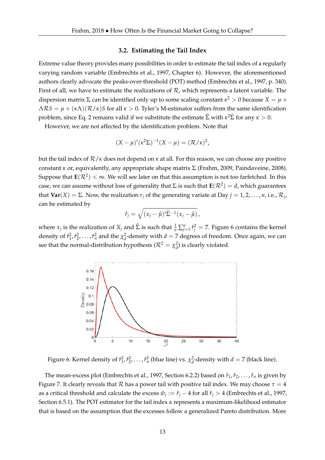#### **3.2. Estimating the Tail Index**

Extreme value theory provides many possibilities in order to estimate the tail index of a regularly varying random variable (Embrechts et al., 1997, Chapter 6). However, the aforementioned authors clearly advocate the peaks-over-threshold (POT) method (Embrechts et al., 1997, p. 340). First of all, we have to estimate the realizations of  $R$ , which represents a latent variable. The dispersion matrix  $\Sigma$  can be identified only up to some scaling constant  $\kappa^2 > 0$  because  $X = \mu + \frac{1}{2}$  $\Lambda RS = \mu + (\kappa \Lambda)(\mathcal{R}/\kappa)S$  for all  $\kappa > 0$ . Tyler's M-estimator suffers from the same identification problem, since Eq. 2 remains valid if we substitute the estimate  $\widehat{\Sigma}$  with  $\kappa^2 \widehat{\Sigma}$  for any  $\kappa > 0$ .

However, we are not affected by the identification problem. Note that

$$
(X - \mu)'(\kappa^2 \Sigma)^{-1} (X - \mu) = (\mathcal{R}/\kappa)^2,
$$

but the tail index of R/*κ* does not depend on *κ* at all. For this reason, we can choose any positive constant *κ* or, equivalently, any appropriate shape matrix Σ (Frahm, 2009, Paindaveine, 2008). Suppose that  $\texttt{E}(\mathcal{R}^2)<\infty.$  We will see later on that this assumption is not too farfetched. In this case, we can assume without loss of generality that  $\Sigma$  is such that  $\mathbf{E}(\mathcal{R}^2) = d$ , which guarantees that  $\text{Var}(X) = \Sigma$ . Now, the realization  $r_j$  of the generating variate at Day  $j = 1, 2, ..., n$ , i.e.,  $\mathcal{R}_j$ , can be estimated by

$$
\hat{r}_j = \sqrt{(x_j - \hat{\mu})'\hat{\Sigma}^{-1}(x_j - \hat{\mu})},
$$

where  $x_j$  is the realization of  $X_j$  and  $\hat{\Sigma}$  is such that  $\frac{1}{n}\sum_{j=1}^n \hat{r}_j^2 = 7$ . Figure 6 contains the kernel density of  $\hat{r}_1^2$ ,  $\hat{r}_2^2$ , . . . ,  $\hat{r}_n^2$  and the  $\chi_d^2$ -density with  $d=7$  degrees of freedom. Once again, we can see that the normal-distribution hypothesis ( $\mathcal{R}^2 = \chi_d^2$ ) is clearly violated.



Figure 6: Kernel density of  $\hat{r}_1^2, \hat{r}_2^2, \ldots, \hat{r}_n^2$  (blue line) vs.  $\chi_d^2$ -density with  $d = 7$  (black line).

The mean-excess plot (Embrechts et al., 1997, Section 6.2.2) based on  $\hat{r}_1$ ,  $\hat{r}_2$ , ...,  $\hat{r}_n$  is given by Figure 7. It clearly reveals that  $R$  has a power tail with positive tail index. We may choose  $\tau = 4$ as a critical threshold and calculate the excess  $\hat{w}_j := \hat{r}_j - 4$  for all  $\hat{r}_j > 4$  (Embrechts et al., 1997, Section 6.5.1). The POT estimator for the tail index *α* represents a maximum-likelihood estimator that is based on the assumption that the excesses follow a generalized Pareto distribution. More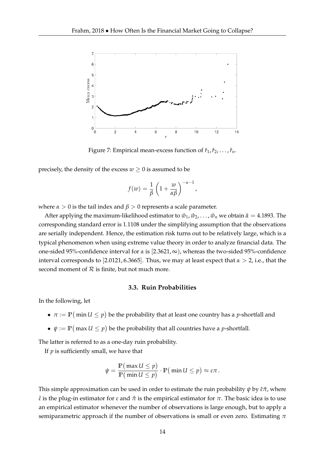

Figure 7: Empirical mean-excess function of  $\hat{r}_1$ ,  $\hat{r}_2$ , ...,  $\hat{r}_n$ .

precisely, the density of the excess  $w \geq 0$  is assumed to be

$$
f(w) = \frac{1}{\beta} \left( 1 + \frac{w}{\alpha \beta} \right)^{-\alpha - 1},
$$

where  $\alpha > 0$  is the tail index and  $\beta > 0$  represents a scale parameter.

After applying the maximum-likelihood estimator to  $\hat{w}_1, \hat{w}_2, \dots, \hat{w}_n$  we obtain  $\hat{\alpha} = 4.1893$ . The corresponding standard error is 1.1108 under the simplifying assumption that the observations are serially independent. Hence, the estimation risk turns out to be relatively large, which is a typical phenomenon when using extreme value theory in order to analyze financial data. The one-sided 95%-confidence interval for *α* is [2.3621, ∞), whereas the two-sided 95%-confidence interval corresponds to [2.0121, 6.3665]. Thus, we may at least expect that  $\alpha > 2$ , i.e., that the second moment of  $R$  is finite, but not much more.

#### **3.3. Ruin Probabilities**

In the following, let

- $\bullet \; \pi := \mathbb{P}\big(\min U \leq p\big)$  be the probability that at least one country has a *p*-shortfall and
- $\bullet \; \; \psi := \mathbb{P}\big(\max U \leq p\big)$  be the probability that all countries have a *p*-shortfall.

The latter is referred to as a one-day ruin probability.

If *p* is sufficiently small, we have that

$$
\psi = \frac{\mathbb{P}(\max U \leq p)}{\mathbb{P}(\min U \leq p)} \cdot \mathbb{P}(\min U \leq p) \approx \varepsilon \pi.
$$

This simple approximation can be used in order to estimate the ruin probability *ψ* by *ε*ˆ*π*ˆ, where *ε*ˆ is the plug-in estimator for *ε* and *π*ˆ is the empirical estimator for *π*. The basic idea is to use an empirical estimator whenever the number of observations is large enough, but to apply a semiparametric approach if the number of observations is small or even zero. Estimating *π*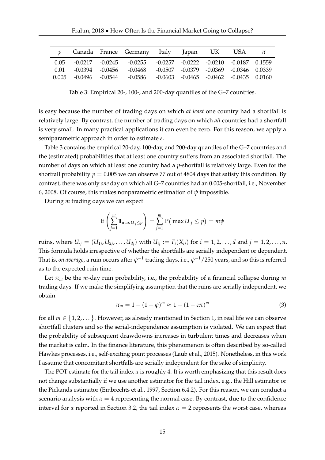|      |                         | Canada France Germany Italy Japan UK                                                  |  | USA | $\pi$ |
|------|-------------------------|---------------------------------------------------------------------------------------|--|-----|-------|
|      |                         | $0.05$ $-0.0217$ $-0.0245$ $-0.0255$ $-0.0257$ $-0.0222$ $-0.0210$ $-0.0187$ $0.1559$ |  |     |       |
| 0.01 |                         | $-0.0394$ $-0.0456$ $-0.0468$ $-0.0507$ $-0.0379$ $-0.0369$ $-0.0346$ $0.0339$        |  |     |       |
|      | $0.005 -0.0496 -0.0544$ | -0.0586 -0.0603 -0.0465 -0.0462 -0.0435 0.0160                                        |  |     |       |

Table 3: Empirical 20-, 100-, and 200-day quantiles of the G–7 countries.

is easy because the number of trading days on which *at least* one country had a shortfall is relatively large. By contrast, the number of trading days on which *all* countries had a shortfall is very small. In many practical applications it can even be zero. For this reason, we apply a semiparametric approach in order to estimate *ε*.

Table 3 contains the empirical 20-day, 100-day, and 200-day quantiles of the G–7 countries and the (estimated) probabilities that at least one country suffers from an associated shortfall. The number of days on which at least one country had a *p*-shortfall is relatively large. Even for the shortfall probability  $p = 0.005$  we can observe 77 out of 4804 days that satisfy this condition. By contrast, there was only *one* day on which all G–7 countries had an 0.005-shortfall, i.e., November 6, 2008. Of course, this makes nonparametric estimation of *ψ* impossible.

During *m* trading days we can expect

$$
\mathbf{E}\left(\sum_{j=1}^m \mathbb{1}_{\max U_j \leq p}\right) = \sum_{j=1}^m \mathbb{P}\left(\max U_j \leq p\right) = m\psi
$$

ruins, where  $U_{.j} = (U_{1j}, U_{2j}, \ldots, U_{dj})$  with  $U_{ij} := F_i(X_{ij})$  for  $i = 1, 2, \ldots, d$  and  $j = 1, 2, \ldots, n$ . This formula holds irrespective of whether the shortfalls are serially independent or dependent. That is*, on average,* a ruin occurs after  $\psi^{-1}$  trading days, i.e.,  $\psi^{-1}/250$  years, and so this is referred as to the expected ruin time.

Let  $\pi_m$  be the *m*-day ruin probability, i.e., the probability of a financial collapse during *m* trading days. If we make the simplifying assumption that the ruins are serially independent, we obtain

$$
\pi_m = 1 - (1 - \psi)^m \approx 1 - (1 - \varepsilon \pi)^m \tag{3}
$$

for all  $m \in \{1, 2, \dots\}$ . However, as already mentioned in Section 1, in real life we can observe shortfall clusters and so the serial-independence assumption is violated. We can expect that the probability of subsequent drawdowns increases in turbulent times and decreases when the market is calm. In the finance literature, this phenomenon is often described by so-called Hawkes processes, i.e., self-exciting point processes (Laub et al., 2015). Nonetheless, in this work I assume that concomitant shortfalls are serially independent for the sake of simplicity.

The POT estimate for the tail index  $\alpha$  is roughly 4. It is worth emphasizing that this result does not change substantially if we use another estimator for the tail index, e.g., the Hill estimator or the Pickands estimator (Embrechts et al., 1997, Section 6.4.2). For this reason, we can conduct a scenario analysis with  $\alpha = 4$  representing the normal case. By contrast, due to the confidence interval for  $\alpha$  reported in Section 3.2, the tail index  $\alpha = 2$  represents the worst case, whereas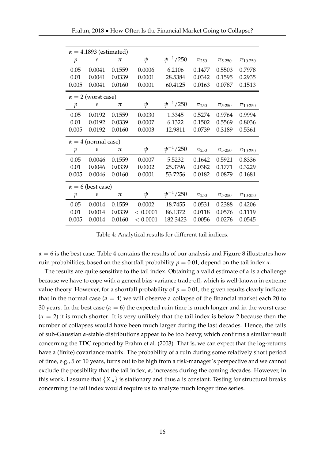| $\alpha = 4.1893$ (estimated) |                            |        |          |                 |             |                         |                      |  |  |
|-------------------------------|----------------------------|--------|----------|-----------------|-------------|-------------------------|----------------------|--|--|
| р                             | ε                          | $\pi$  | $\psi$   | $\psi^{-1}/250$ | $\pi_{250}$ | $\pi$ <sub>5</sub> .250 | $\pi_{10\cdot250}$   |  |  |
| 0.05                          | 0.0041                     | 0.1559 | 0.0006   | 6.2106          | 0.1477      | 0.5503                  | 0.7978               |  |  |
| 0.01                          | 0.0041                     | 0.0339 | 0.0001   | 28.5384         | 0.0342      | 0.1595                  | 0.2935               |  |  |
| 0.005                         | 0.0041                     | 0.0160 | 0.0001   | 60.4125         | 0.0163      | 0.0787                  | 0.1513               |  |  |
| $\alpha = 2$ (worst case)     |                            |        |          |                 |             |                         |                      |  |  |
| p                             | ε                          | $\pi$  | ψ        | $\psi^{-1}/250$ | $\pi_{250}$ | $\pi_{5.250}$           | $\pi_{10 \cdot 250}$ |  |  |
| 0.05                          | 0.0192                     | 0.1559 | 0.0030   | 1.3345          | 0.5274      | 0.9764                  | 0.9994               |  |  |
| 0.01                          | 0.0192                     | 0.0339 | 0.0007   | 6.1322          | 0.1502      | 0.5569                  | 0.8036               |  |  |
| 0.005                         | 0.0192                     | 0.0160 | 0.0003   | 12.9811         | 0.0739      | 0.3189                  | 0.5361               |  |  |
| $\alpha = 4$ (normal case)    |                            |        |          |                 |             |                         |                      |  |  |
| $\mathcal{P}$                 | $\boldsymbol{\varepsilon}$ | π      | ψ        | $\psi^{-1}/250$ | $\pi_{250}$ | $\pi$ <sub>5</sub> .250 | $\pi_{10.250}$       |  |  |
| 0.05                          | 0.0046                     | 0.1559 | 0.0007   | 5.5232          | 0.1642      | 0.5921                  | 0.8336               |  |  |
| 0.01                          | 0.0046                     | 0.0339 | 0.0002   | 25.3796         | 0.0382      | 0.1771                  | 0.3229               |  |  |
| 0.005                         | 0.0046                     | 0.0160 | 0.0001   | 53.7256         | 0.0182      | 0.0879                  | 0.1681               |  |  |
| $\alpha = 6$ (best case)      |                            |        |          |                 |             |                         |                      |  |  |
|                               |                            |        |          |                 |             |                         |                      |  |  |
| р                             | $\boldsymbol{\varepsilon}$ | $\pi$  | ψ        | $\psi^{-1}/250$ | $\pi_{250}$ | $\pi_{5.250}$           | $\pi_{10.250}$       |  |  |
| 0.05                          | 0.0014                     | 0.1559 | 0.0002   | 18.7455         | 0.0531      | 0.2388                  | 0.4206               |  |  |
| 0.01                          | 0.0014                     | 0.0339 | < 0.0001 | 86.1372         | 0.0118      | 0.0576                  | 0.1119               |  |  |

Table 4: Analytical results for different tail indices.

 $\alpha = 6$  is the best case. Table 4 contains the results of our analysis and Figure 8 illustrates how ruin probabilities, based on the shortfall probability *p* = 0.01, depend on the tail index *α*.

The results are quite sensitive to the tail index. Obtaining a valid estimate of  $\alpha$  is a challenge because we have to cope with a general bias-variance trade-off, which is well-known in extreme value theory. However, for a shortfall probability of  $p = 0.01$ , the given results clearly indicate that in the normal case  $(a = 4)$  we will observe a collapse of the financial market each 20 to 30 years. In the best case ( $\alpha = 6$ ) the expected ruin time is much longer and in the worst case  $(\alpha = 2)$  it is much shorter. It is very unlikely that the tail index is below 2 because then the number of collapses would have been much larger during the last decades. Hence, the tails of sub-Gaussian *α*-stable distributions appear to be too heavy, which confirms a similar result concerning the TDC reported by Frahm et al. (2003). That is, we can expect that the log-returns have a (finite) covariance matrix. The probability of a ruin during some relatively short period of time, e.g., 5 or 10 years, turns out to be high from a risk-manager's perspective and we cannot exclude the possibility that the tail index, *α*, increases during the coming decades. However, in this work, I assume that  ${X_n}$  is stationary and thus  $\alpha$  is constant. Testing for structural breaks concerning the tail index would require us to analyze much longer time series.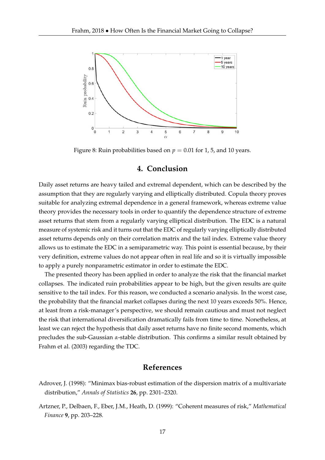

Figure 8: Ruin probabilities based on  $p = 0.01$  for 1, 5, and 10 years.

#### **4. Conclusion**

Daily asset returns are heavy tailed and extremal dependent, which can be described by the assumption that they are regularly varying and elliptically distributed. Copula theory proves suitable for analyzing extremal dependence in a general framework, whereas extreme value theory provides the necessary tools in order to quantify the dependence structure of extreme asset returns that stem from a regularly varying elliptical distribution. The EDC is a natural measure of systemic risk and it turns out that the EDC of regularly varying elliptically distributed asset returns depends only on their correlation matrix and the tail index. Extreme value theory allows us to estimate the EDC in a semiparametric way. This point is essential because, by their very definition, extreme values do not appear often in real life and so it is virtually impossible to apply a purely nonparametric estimator in order to estimate the EDC.

The presented theory has been applied in order to analyze the risk that the financial market collapses. The indicated ruin probabilities appear to be high, but the given results are quite sensitive to the tail index. For this reason, we conducted a scenario analysis. In the worst case, the probability that the financial market collapses during the next 10 years exceeds 50%. Hence, at least from a risk-manager's perspective, we should remain cautious and must not neglect the risk that international diversification dramatically fails from time to time. Nonetheless, at least we can reject the hypothesis that daily asset returns have no finite second moments, which precludes the sub-Gaussian *α*-stable distribution. This confirms a similar result obtained by Frahm et al. (2003) regarding the TDC.

## **References**

- Adrover, J. (1998): "Minimax bias-robust estimation of the dispersion matrix of a multivariate distribution," *Annals of Statistics* **26**, pp. 2301–2320.
- Artzner, P., Delbaen, F., Eber, J.M., Heath, D. (1999): "Coherent measures of risk," *Mathematical Finance* **9**, pp. 203–228.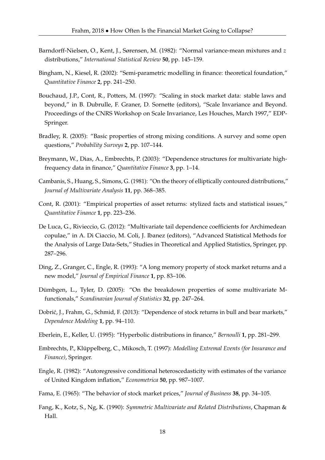- Barndorff-Nielsen, O., Kent, J., Sørensen, M. (1982): "Normal variance-mean mixtures and *z* distributions," *International Statistical Review* **50**, pp. 145–159.
- Bingham, N., Kiesel, R. (2002): "Semi-parametric modelling in finance: theoretical foundation," *Quantitative Finance* **2**, pp. 241–250.
- Bouchaud, J.P., Cont, R., Potters, M. (1997): "Scaling in stock market data: stable laws and beyond," in B. Dubrulle, F. Graner, D. Sornette (editors), "Scale Invariance and Beyond. Proceedings of the CNRS Workshop on Scale Invariance, Les Houches, March 1997," EDP-Springer.
- Bradley, R. (2005): "Basic properties of strong mixing conditions. A survey and some open questions," *Probability Surveys* **2**, pp. 107–144.
- Breymann, W., Dias, A., Embrechts, P. (2003): "Dependence structures for multivariate highfrequency data in finance," *Quantitative Finance* **3**, pp. 1–14.
- Cambanis, S., Huang, S., Simons, G. (1981): "On the theory of elliptically contoured distributions," *Journal of Multivariate Analysis* **11**, pp. 368–385.
- Cont, R. (2001): "Empirical properties of asset returns: stylized facts and statistical issues," *Quantitative Finance* **1**, pp. 223–236.
- De Luca, G., Rivieccio, G. (2012): "Multivariate tail dependence coefficients for Archimedean copulae," in A. Di Ciaccio, M. Coli, J. Ibanez (editors), "Advanced Statistical Methods for the Analysis of Large Data-Sets," Studies in Theoretical and Applied Statistics, Springer, pp. 287–296.
- Ding, Z., Granger, C., Engle, R. (1993): "A long memory property of stock market returns and a new model," *Journal of Empirical Finance* **1**, pp. 83–106.
- Dümbgen, L., Tyler, D. (2005): "On the breakdown properties of some multivariate Mfunctionals," *Scandinavian Journal of Statistics* **32**, pp. 247–264.
- Dobrić, J., Frahm, G., Schmid, F. (2013): "Dependence of stock returns in bull and bear markets," *Dependence Modeling* **1**, pp. 94–110.
- Eberlein, E., Keller, U. (1995): "Hyperbolic distributions in finance," *Bernoulli* **1**, pp. 281–299.
- Embrechts, P., Klüppelberg, C., Mikosch, T. (1997): *Modelling Extremal Events (for Insurance and Finance)*, Springer.
- Engle, R. (1982): "Autoregressive conditional heteroscedasticity with estimates of the variance of United Kingdom inflation," *Econometrica* **50**, pp. 987–1007.
- Fama, E. (1965): "The behavior of stock market prices," *Journal of Business* **38**, pp. 34–105.
- Fang, K., Kotz, S., Ng, K. (1990): *Symmetric Multivariate and Related Distributions*, Chapman & Hall.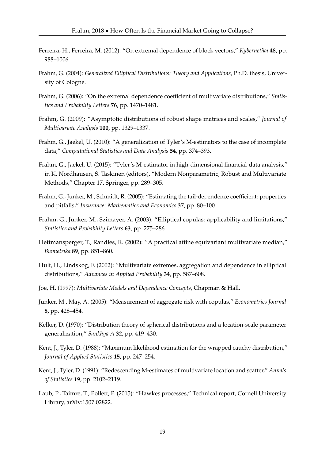- Ferreira, H., Ferreira, M. (2012): "On extremal dependence of block vectors," *Kybernetika* **48**, pp. 988–1006.
- Frahm, G. (2004): *Generalized Elliptical Distributions: Theory and Applications*, Ph.D. thesis, University of Cologne.
- Frahm, G. (2006): "On the extremal dependence coefficient of multivariate distributions," *Statistics and Probability Letters* **76**, pp. 1470–1481.
- Frahm, G. (2009): "Asymptotic distributions of robust shape matrices and scales," *Journal of Multivariate Analysis* **100**, pp. 1329–1337.
- Frahm, G., Jaekel, U. (2010): "A generalization of Tyler's M-estimators to the case of incomplete data," *Computational Statistics and Data Analysis* **54**, pp. 374–393.
- Frahm, G., Jaekel, U. (2015): "Tyler's M-estimator in high-dimensional financial-data analysis," in K. Nordhausen, S. Taskinen (editors), "Modern Nonparametric, Robust and Multivariate Methods," Chapter 17, Springer, pp. 289–305.
- Frahm, G., Junker, M., Schmidt, R. (2005): "Estimating the tail-dependence coefficient: properties and pitfalls," *Insurance: Mathematics and Economics* **37**, pp. 80–100.
- Frahm, G., Junker, M., Szimayer, A. (2003): "Elliptical copulas: applicability and limitations," *Statistics and Probability Letters* **63**, pp. 275–286.
- Hettmansperger, T., Randles, R. (2002): "A practical affine equivariant multivariate median," *Biometrika* **89**, pp. 851–860.
- Hult, H., Lindskog, F. (2002): "Multivariate extremes, aggregation and dependence in elliptical distributions," *Advances in Applied Probability* **34**, pp. 587–608.
- Joe, H. (1997): *Multivariate Models and Dependence Concepts*, Chapman & Hall.
- Junker, M., May, A. (2005): "Measurement of aggregate risk with copulas," *Econometrics Journal* **8**, pp. 428–454.
- Kelker, D. (1970): "Distribution theory of spherical distributions and a location-scale parameter generalization," *Sankhya A* **32**, pp. 419–430.
- Kent, J., Tyler, D. (1988): "Maximum likelihood estimation for the wrapped cauchy distribution," *Journal of Applied Statistics* **15**, pp. 247–254.
- Kent, J., Tyler, D. (1991): "Redescending M-estimates of multivariate location and scatter," *Annals of Statistics* **19**, pp. 2102–2119.
- Laub, P., Taimre, T., Pollett, P. (2015): "Hawkes processes," Technical report, Cornell University Library, arXiv:1507.02822.